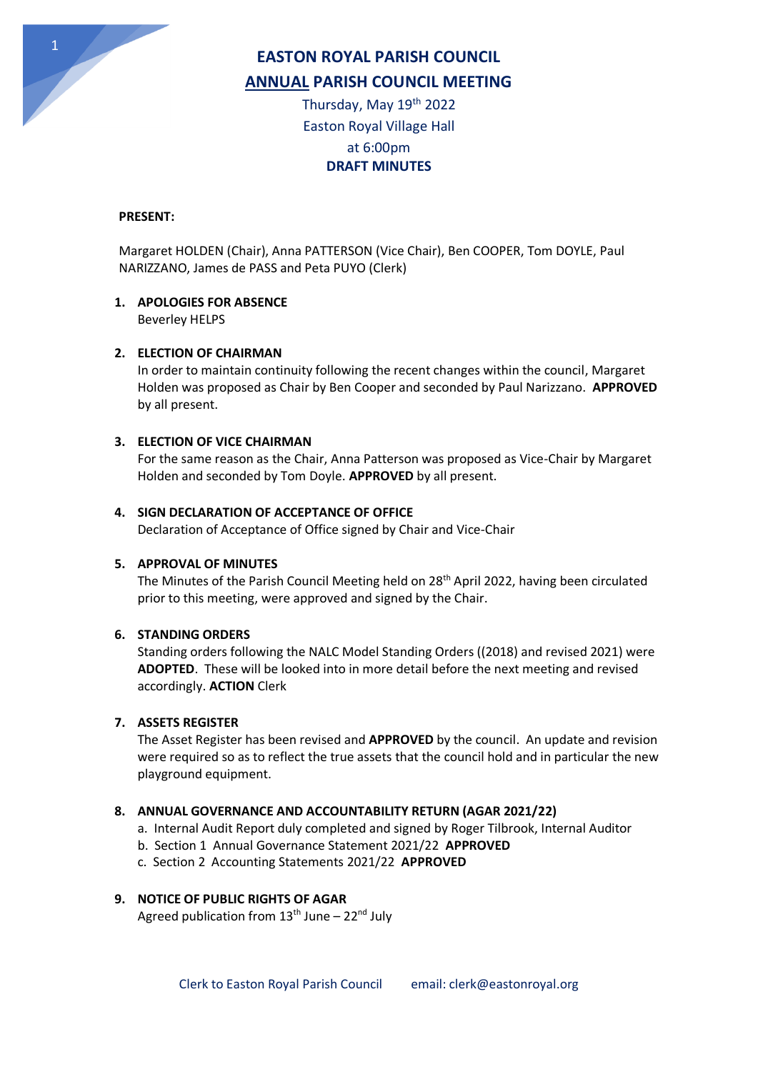

## **EASTON ROYAL PARISH COUNCIL ANNUAL PARISH COUNCIL MEETING**

Thursday, May 19th 2022 Easton Royal Village Hall at 6:00pm **DRAFT MINUTES**

### **PRESENT:**

Margaret HOLDEN (Chair), Anna PATTERSON (Vice Chair), Ben COOPER, Tom DOYLE, Paul NARIZZANO, James de PASS and Peta PUYO (Clerk)

# **1. APOLOGIES FOR ABSENCE**

Beverley HELPS

### **2. ELECTION OF CHAIRMAN**

In order to maintain continuity following the recent changes within the council, Margaret Holden was proposed as Chair by Ben Cooper and seconded by Paul Narizzano. **APPROVED** by all present.

### **3. ELECTION OF VICE CHAIRMAN**

For the same reason as the Chair, Anna Patterson was proposed as Vice-Chair by Margaret Holden and seconded by Tom Doyle. **APPROVED** by all present.

### **4. SIGN DECLARATION OF ACCEPTANCE OF OFFICE**

Declaration of Acceptance of Office signed by Chair and Vice-Chair

### **5. APPROVAL OF MINUTES**

The Minutes of the Parish Council Meeting held on 28<sup>th</sup> April 2022, having been circulated prior to this meeting, were approved and signed by the Chair.

### **6. STANDING ORDERS**

Standing orders following the NALC Model Standing Orders ((2018) and revised 2021) were **ADOPTED**. These will be looked into in more detail before the next meeting and revised accordingly. **ACTION** Clerk

### **7. ASSETS REGISTER**

The Asset Register has been revised and **APPROVED** by the council. An update and revision were required so as to reflect the true assets that the council hold and in particular the new playground equipment.

### **8. ANNUAL GOVERNANCE AND ACCOUNTABILITY RETURN (AGAR 2021/22)**

- a. Internal Audit Report duly completed and signed by Roger Tilbrook, Internal Auditor
- b. Section 1 Annual Governance Statement 2021/22 **APPROVED**
- c. Section 2 Accounting Statements 2021/22 **APPROVED**

## **9. NOTICE OF PUBLIC RIGHTS OF AGAR**

Agreed publication from  $13<sup>th</sup>$  June –  $22<sup>nd</sup>$  July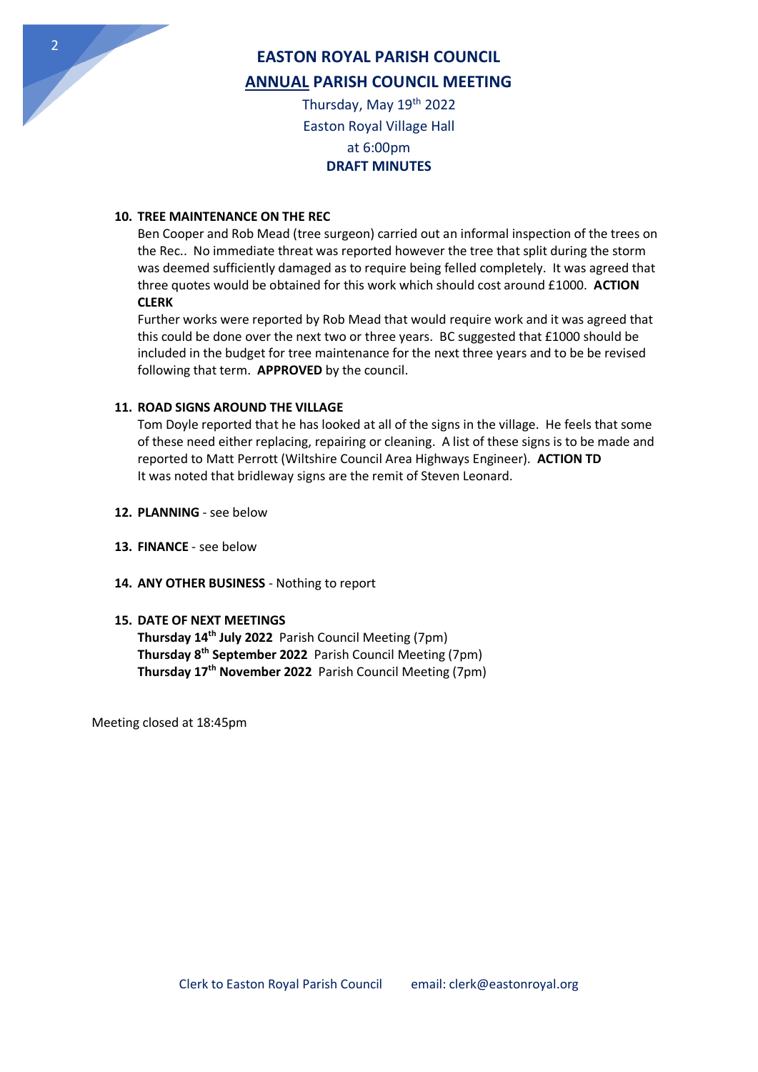

# **EASTON ROYAL PARISH COUNCIL ANNUAL PARISH COUNCIL MEETING**

Thursday, May 19th 2022 Easton Royal Village Hall at 6:00pm **DRAFT MINUTES**

### **10. TREE MAINTENANCE ON THE REC**

Ben Cooper and Rob Mead (tree surgeon) carried out an informal inspection of the trees on the Rec.. No immediate threat was reported however the tree that split during the storm was deemed sufficiently damaged as to require being felled completely. It was agreed that three quotes would be obtained for this work which should cost around £1000. **ACTION CLERK**

Further works were reported by Rob Mead that would require work and it was agreed that this could be done over the next two or three years. BC suggested that £1000 should be included in the budget for tree maintenance for the next three years and to be be revised following that term. **APPROVED** by the council.

### **11. ROAD SIGNS AROUND THE VILLAGE**

Tom Doyle reported that he has looked at all of the signs in the village. He feels that some of these need either replacing, repairing or cleaning. A list of these signs is to be made and reported to Matt Perrott (Wiltshire Council Area Highways Engineer). **ACTION TD** It was noted that bridleway signs are the remit of Steven Leonard.

- **12. PLANNING** see below
- **13. FINANCE**  see below
- **14. ANY OTHER BUSINESS**  Nothing to report

### **15. DATE OF NEXT MEETINGS**

**Thursday 14th July 2022** Parish Council Meeting (7pm) **Thursday 8th September 2022** Parish Council Meeting (7pm) **Thursday 17th November 2022** Parish Council Meeting (7pm)

Meeting closed at 18:45pm